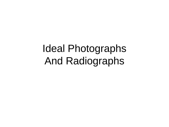Ideal Photographs And Radiographs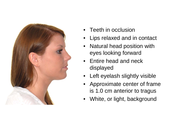

- Teeth in occlusion
- Lips relaxed and in contact
- Natural head position with eyes looking forward
- Entire head and neck displayed
- Left eyelash slightly visible
- Approximate center of frame is 1.0 cm anterior to tragus
- White, or light, background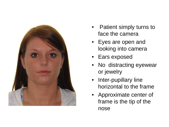

- Patient simply turns to face the camera
- Eyes are open and looking into camera
- Ears exposed
- No distracting eyewear or jewelry
- Inter-pupillary line horizontal to the frame
- Approximate center of frame is the tip of the nose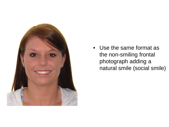

• Use the same format as the non-smiling frontal photograph adding a natural smile (social smile)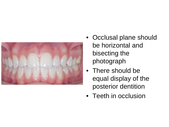

- Occlusal plane should be horizontal and bisecting the photograph
- There should be equal display of the posterior dentition
- Teeth in occlusion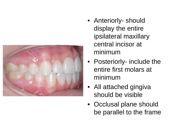

- Anteriorly- should display the entire ipsilateral maxillary central incisor at minimum
- Posteriorly- include the entire first molars at minimum
- All attached gingiva should be visible
- Occlusal plane should be parallel to the frame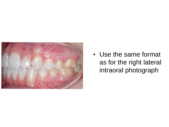

• Use the same format as for the right lateral intraoral photograph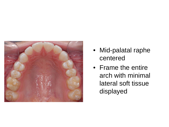

- Mid-palatal raphe centered
- Frame the entire arch with minimal lateral soft tissue displayed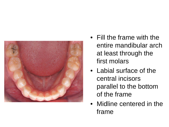

- Fill the frame with the entire mandibular arch at least through the first molars
- Labial surface of the central incisors parallel to the bottom of the frame
- Midline centered in the frame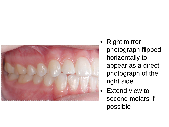

- Right mirror photograph flipped horizontally to appear as a direct photograph of the right side
- Extend view to second molars if possible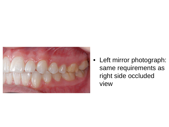

• Left mirror photograph: same requirements as right side occluded view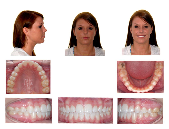













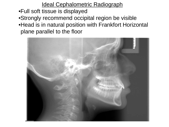## Ideal Cephalometric Radiograph

- •Full soft tissue is displayed
- •Strongly recommend occipital region be visible
- •Head is in natural position with Frankfort Horizontal plane parallel to the floor

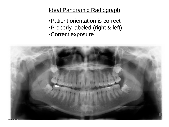## Ideal Panoramic Radiograph

•Patient orientation is correct •Properly labeled (right & left) •Correct exposure

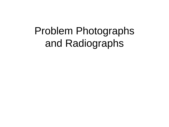## Problem Photographs and Radiographs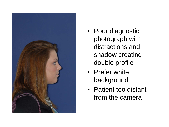

- Poor diagnostic photograph with distractions and shadow creating double profile
- Prefer white background
- Patient too distant from the camera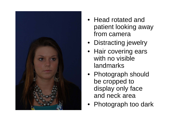

- Head rotated and patient looking away from camera
- Distracting jewelry
- Hair covering ears with no visible landmarks
- Photograph should be cropped to display only face and neck area
- Photograph too dark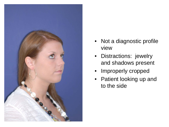

- Not a diagnostic profile view
- Distractions: jewelry and shadows present
- Improperly cropped
- Patient looking up and to the side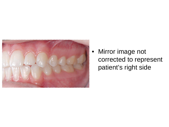

• Mirror image not corrected to represent patient's right side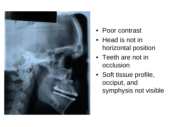

- Poor contrast
- Head is not in horizontal position
- Teeth are not in occlusion
- Soft tissue profile, occiput, and symphysis not visible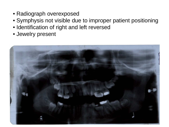- Radiograph overexposed
- Symphysis not visible due to improper patient positioning
- Identification of right and left reversed
- Jewelry present

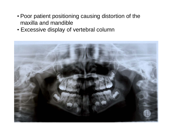- Poor patient positioning causing distortion of the maxilla and mandible
- Excessive display of vertebral column